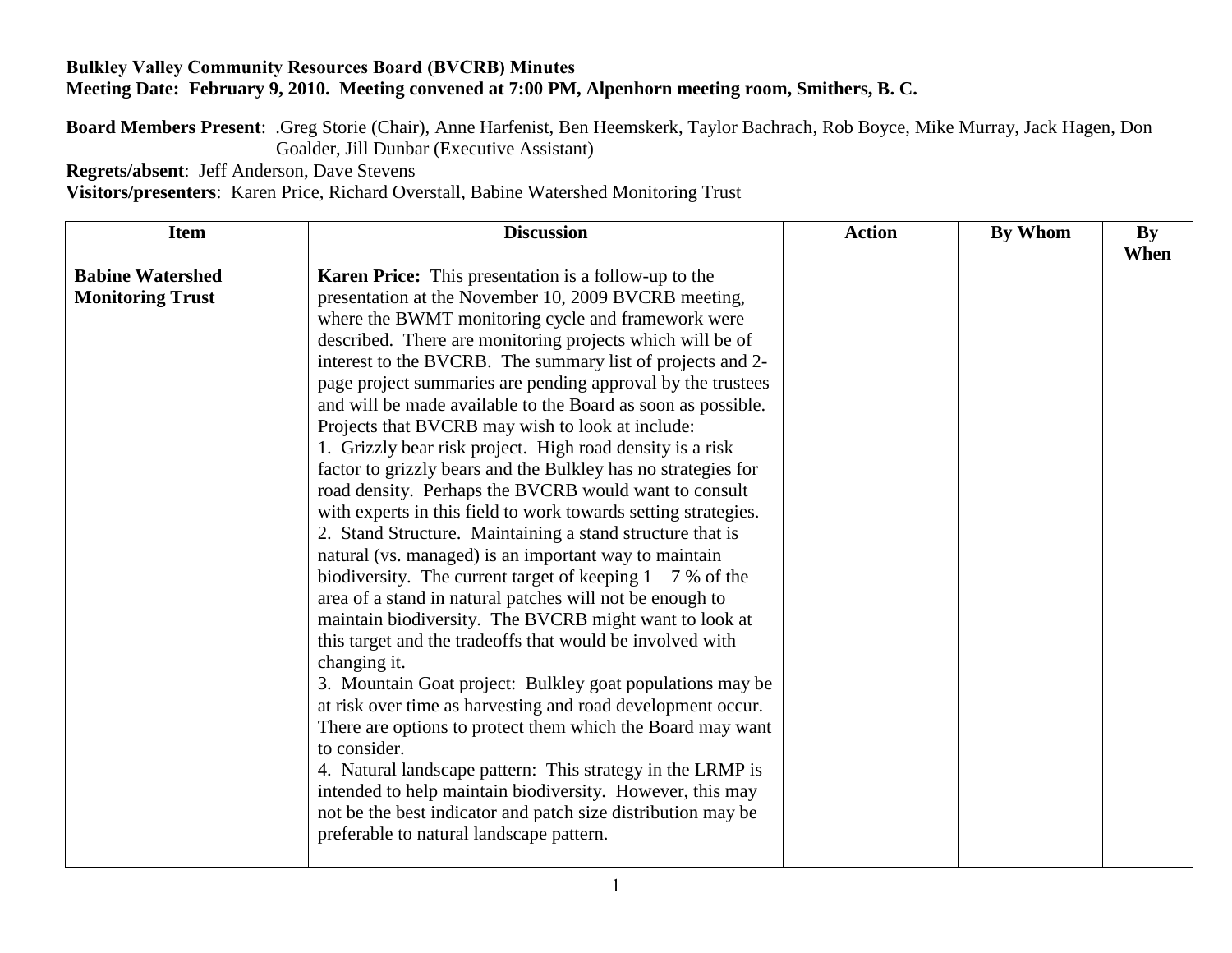## **Bulkley Valley Community Resources Board (BVCRB) Minutes Meeting Date: February 9, 2010. Meeting convened at 7:00 PM, Alpenhorn meeting room, Smithers, B. C.**

**Board Members Present**: .Greg Storie (Chair), Anne Harfenist, Ben Heemskerk, Taylor Bachrach, Rob Boyce, Mike Murray, Jack Hagen, Don Goalder, Jill Dunbar (Executive Assistant)

**Regrets/absent**: Jeff Anderson, Dave Stevens

**Visitors/presenters**: Karen Price, Richard Overstall, Babine Watershed Monitoring Trust

| <b>Item</b>             | <b>Discussion</b>                                              | <b>Action</b> | By Whom | $\mathbf{By}$ |
|-------------------------|----------------------------------------------------------------|---------------|---------|---------------|
|                         |                                                                |               |         | When          |
| <b>Babine Watershed</b> | Karen Price: This presentation is a follow-up to the           |               |         |               |
| <b>Monitoring Trust</b> | presentation at the November 10, 2009 BVCRB meeting,           |               |         |               |
|                         | where the BWMT monitoring cycle and framework were             |               |         |               |
|                         | described. There are monitoring projects which will be of      |               |         |               |
|                         | interest to the BVCRB. The summary list of projects and 2-     |               |         |               |
|                         | page project summaries are pending approval by the trustees    |               |         |               |
|                         | and will be made available to the Board as soon as possible.   |               |         |               |
|                         | Projects that BVCRB may wish to look at include:               |               |         |               |
|                         | 1. Grizzly bear risk project. High road density is a risk      |               |         |               |
|                         | factor to grizzly bears and the Bulkley has no strategies for  |               |         |               |
|                         | road density. Perhaps the BVCRB would want to consult          |               |         |               |
|                         | with experts in this field to work towards setting strategies. |               |         |               |
|                         | 2. Stand Structure. Maintaining a stand structure that is      |               |         |               |
|                         | natural (vs. managed) is an important way to maintain          |               |         |               |
|                         | biodiversity. The current target of keeping $1 - 7$ % of the   |               |         |               |
|                         | area of a stand in natural patches will not be enough to       |               |         |               |
|                         | maintain biodiversity. The BVCRB might want to look at         |               |         |               |
|                         | this target and the tradeoffs that would be involved with      |               |         |               |
|                         | changing it.                                                   |               |         |               |
|                         | 3. Mountain Goat project: Bulkley goat populations may be      |               |         |               |
|                         | at risk over time as harvesting and road development occur.    |               |         |               |
|                         | There are options to protect them which the Board may want     |               |         |               |
|                         | to consider.                                                   |               |         |               |
|                         | 4. Natural landscape pattern: This strategy in the LRMP is     |               |         |               |
|                         | intended to help maintain biodiversity. However, this may      |               |         |               |
|                         | not be the best indicator and patch size distribution may be   |               |         |               |
|                         | preferable to natural landscape pattern.                       |               |         |               |
|                         |                                                                |               |         |               |
|                         |                                                                |               |         |               |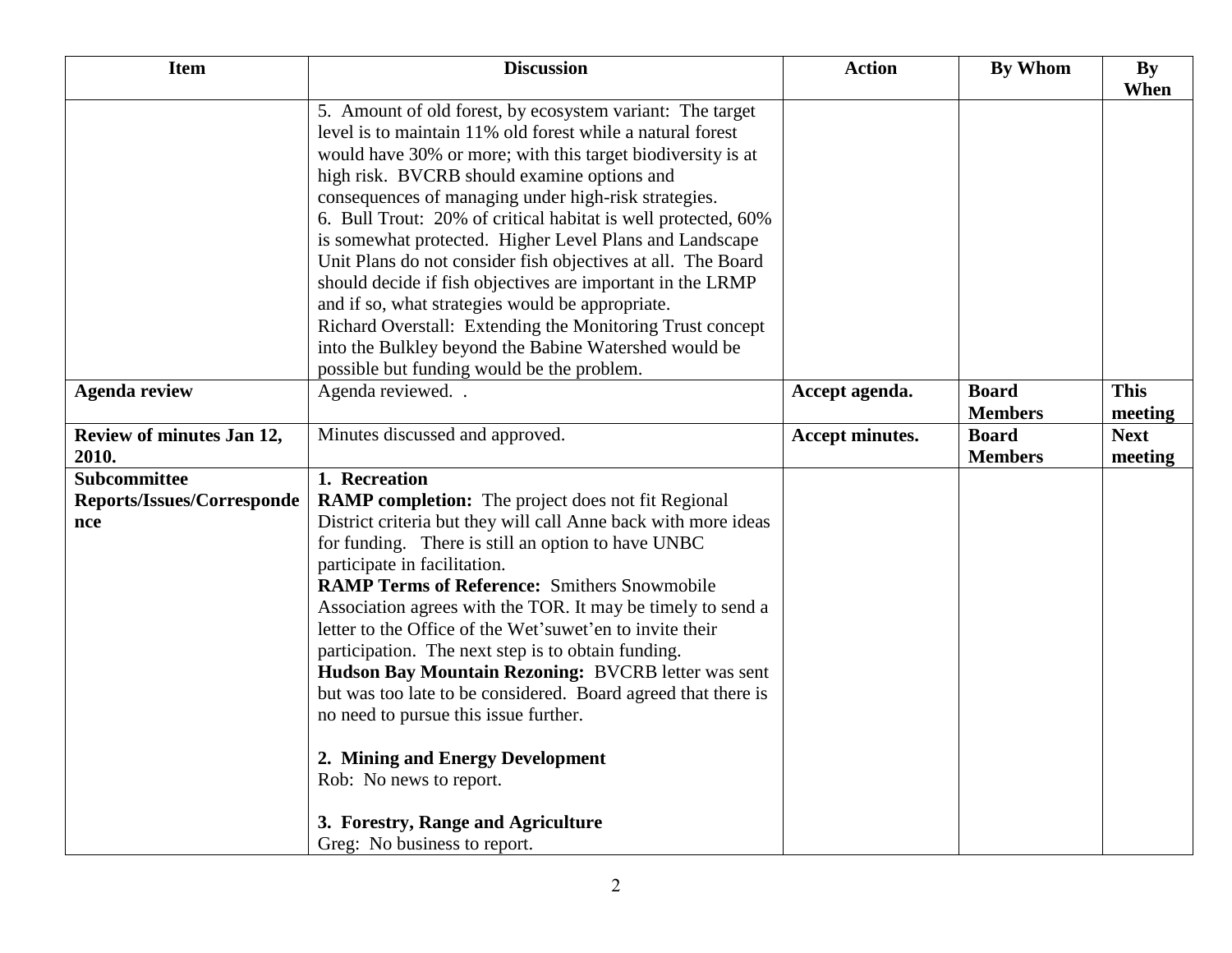| <b>Item</b>                        | <b>Discussion</b>                                                                                                                                                                                                                                                                                                                                                                                                                                                                                                                                                                                                                                                                                                                 | <b>Action</b>   | <b>By Whom</b>                 | By<br>When             |
|------------------------------------|-----------------------------------------------------------------------------------------------------------------------------------------------------------------------------------------------------------------------------------------------------------------------------------------------------------------------------------------------------------------------------------------------------------------------------------------------------------------------------------------------------------------------------------------------------------------------------------------------------------------------------------------------------------------------------------------------------------------------------------|-----------------|--------------------------------|------------------------|
|                                    | 5. Amount of old forest, by ecosystem variant: The target<br>level is to maintain 11% old forest while a natural forest<br>would have 30% or more; with this target biodiversity is at<br>high risk. BVCRB should examine options and<br>consequences of managing under high-risk strategies.<br>6. Bull Trout: 20% of critical habitat is well protected, 60%<br>is somewhat protected. Higher Level Plans and Landscape<br>Unit Plans do not consider fish objectives at all. The Board<br>should decide if fish objectives are important in the LRMP<br>and if so, what strategies would be appropriate.<br>Richard Overstall: Extending the Monitoring Trust concept<br>into the Bulkley beyond the Babine Watershed would be |                 |                                |                        |
| <b>Agenda review</b>               | possible but funding would be the problem.<br>Agenda reviewed                                                                                                                                                                                                                                                                                                                                                                                                                                                                                                                                                                                                                                                                     | Accept agenda.  | <b>Board</b><br><b>Members</b> | <b>This</b><br>meeting |
| Review of minutes Jan 12,<br>2010. | Minutes discussed and approved.                                                                                                                                                                                                                                                                                                                                                                                                                                                                                                                                                                                                                                                                                                   | Accept minutes. | <b>Board</b><br><b>Members</b> | <b>Next</b><br>meeting |
| Subcommittee                       | 1. Recreation                                                                                                                                                                                                                                                                                                                                                                                                                                                                                                                                                                                                                                                                                                                     |                 |                                |                        |
| <b>Reports/Issues/Corresponde</b>  | <b>RAMP completion:</b> The project does not fit Regional                                                                                                                                                                                                                                                                                                                                                                                                                                                                                                                                                                                                                                                                         |                 |                                |                        |
| nce                                | District criteria but they will call Anne back with more ideas<br>for funding. There is still an option to have UNBC<br>participate in facilitation.<br><b>RAMP Terms of Reference: Smithers Snowmobile</b><br>Association agrees with the TOR. It may be timely to send a<br>letter to the Office of the Wet'suwet'en to invite their<br>participation. The next step is to obtain funding.<br>Hudson Bay Mountain Rezoning: BVCRB letter was sent<br>but was too late to be considered. Board agreed that there is<br>no need to pursue this issue further.<br>2. Mining and Energy Development<br>Rob: No news to report.<br>3. Forestry, Range and Agriculture                                                                |                 |                                |                        |
|                                    | Greg: No business to report.                                                                                                                                                                                                                                                                                                                                                                                                                                                                                                                                                                                                                                                                                                      |                 |                                |                        |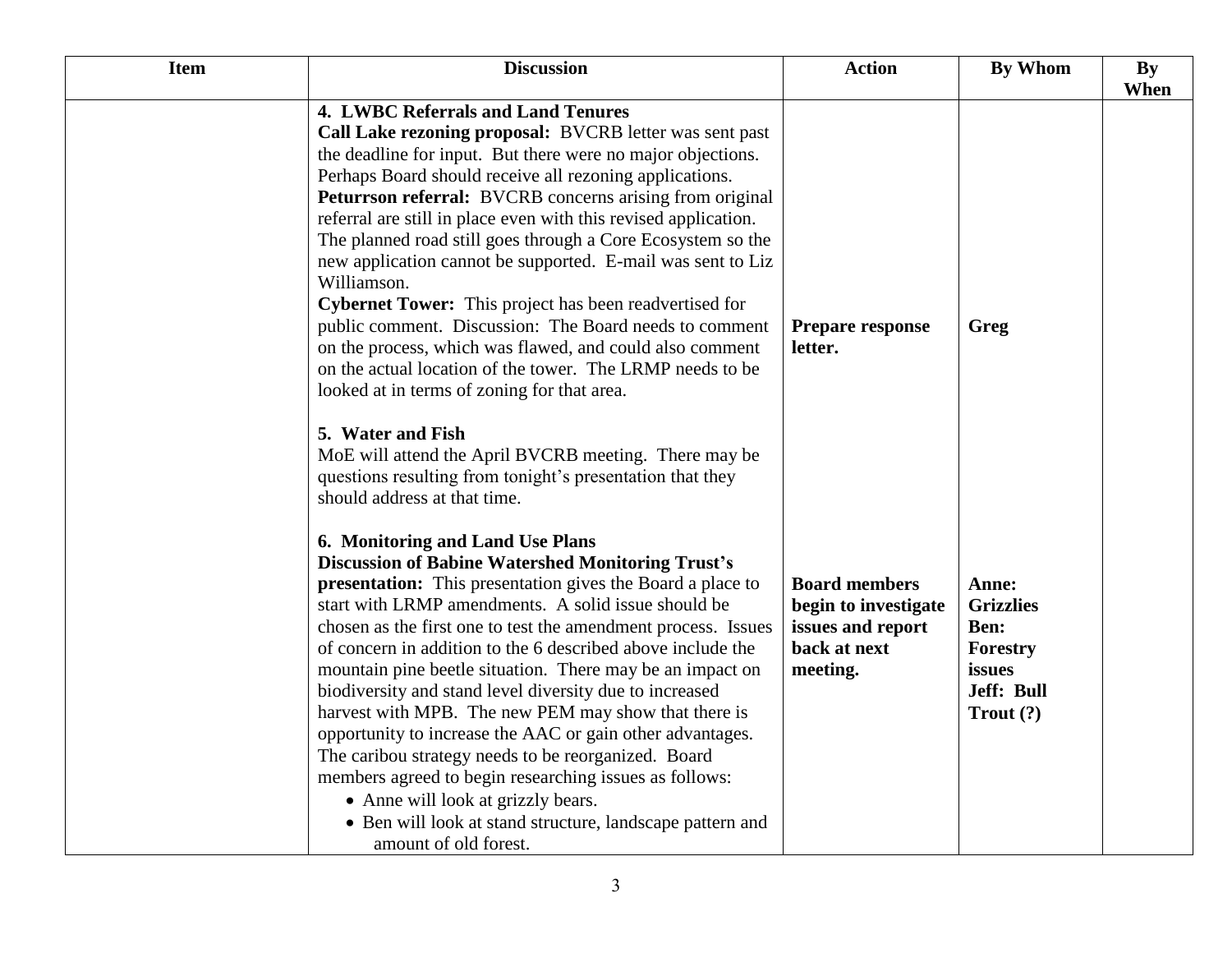| <b>Item</b> | <b>Discussion</b>                                                                                                      | <b>Action</b>           | <b>By Whom</b>       | <b>By</b> |
|-------------|------------------------------------------------------------------------------------------------------------------------|-------------------------|----------------------|-----------|
|             |                                                                                                                        |                         |                      | When      |
|             | 4. LWBC Referrals and Land Tenures                                                                                     |                         |                      |           |
|             | Call Lake rezoning proposal: BVCRB letter was sent past<br>the deadline for input. But there were no major objections. |                         |                      |           |
|             | Perhaps Board should receive all rezoning applications.                                                                |                         |                      |           |
|             | Peturrson referral: BVCRB concerns arising from original                                                               |                         |                      |           |
|             | referral are still in place even with this revised application.                                                        |                         |                      |           |
|             | The planned road still goes through a Core Ecosystem so the                                                            |                         |                      |           |
|             | new application cannot be supported. E-mail was sent to Liz                                                            |                         |                      |           |
|             | Williamson.                                                                                                            |                         |                      |           |
|             | Cybernet Tower: This project has been readvertised for                                                                 |                         |                      |           |
|             | public comment. Discussion: The Board needs to comment                                                                 | <b>Prepare response</b> | Greg                 |           |
|             | on the process, which was flawed, and could also comment                                                               | letter.                 |                      |           |
|             | on the actual location of the tower. The LRMP needs to be                                                              |                         |                      |           |
|             | looked at in terms of zoning for that area.                                                                            |                         |                      |           |
|             | 5. Water and Fish                                                                                                      |                         |                      |           |
|             | MoE will attend the April BVCRB meeting. There may be                                                                  |                         |                      |           |
|             | questions resulting from tonight's presentation that they                                                              |                         |                      |           |
|             | should address at that time.                                                                                           |                         |                      |           |
|             |                                                                                                                        |                         |                      |           |
|             | 6. Monitoring and Land Use Plans                                                                                       |                         |                      |           |
|             | <b>Discussion of Babine Watershed Monitoring Trust's</b>                                                               |                         |                      |           |
|             | <b>presentation:</b> This presentation gives the Board a place to                                                      | <b>Board members</b>    | Anne:                |           |
|             | start with LRMP amendments. A solid issue should be                                                                    | begin to investigate    | <b>Grizzlies</b>     |           |
|             | chosen as the first one to test the amendment process. Issues                                                          | issues and report       | Ben:                 |           |
|             | of concern in addition to the 6 described above include the                                                            | back at next            | Forestry             |           |
|             | mountain pine beetle situation. There may be an impact on                                                              | meeting.                | issues<br>Jeff: Bull |           |
|             | biodiversity and stand level diversity due to increased<br>harvest with MPB. The new PEM may show that there is        |                         | Trout $(?)$          |           |
|             | opportunity to increase the AAC or gain other advantages.                                                              |                         |                      |           |
|             | The caribou strategy needs to be reorganized. Board                                                                    |                         |                      |           |
|             | members agreed to begin researching issues as follows:                                                                 |                         |                      |           |
|             | • Anne will look at grizzly bears.                                                                                     |                         |                      |           |
|             | • Ben will look at stand structure, landscape pattern and                                                              |                         |                      |           |
|             | amount of old forest.                                                                                                  |                         |                      |           |